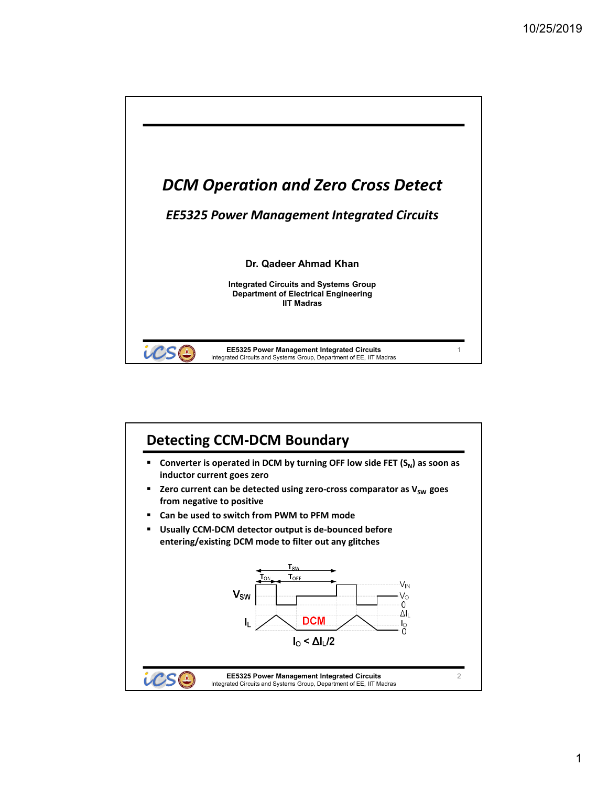

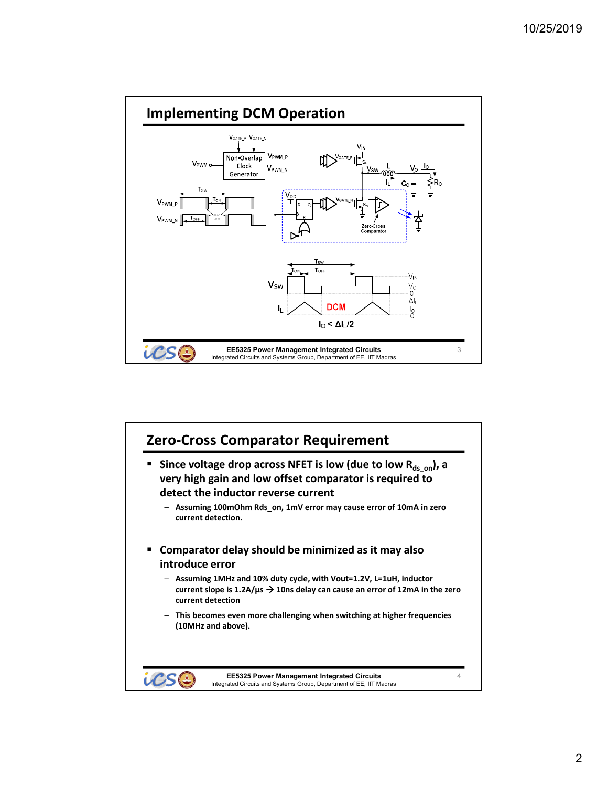

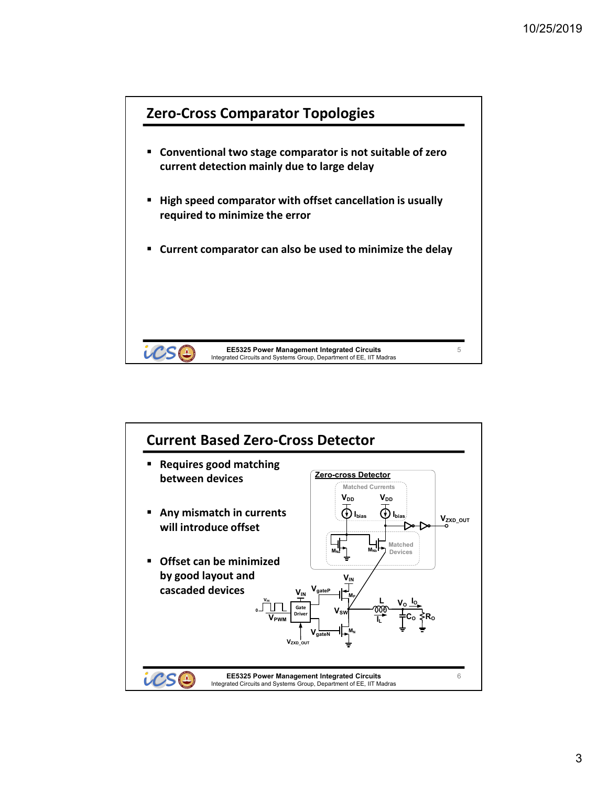